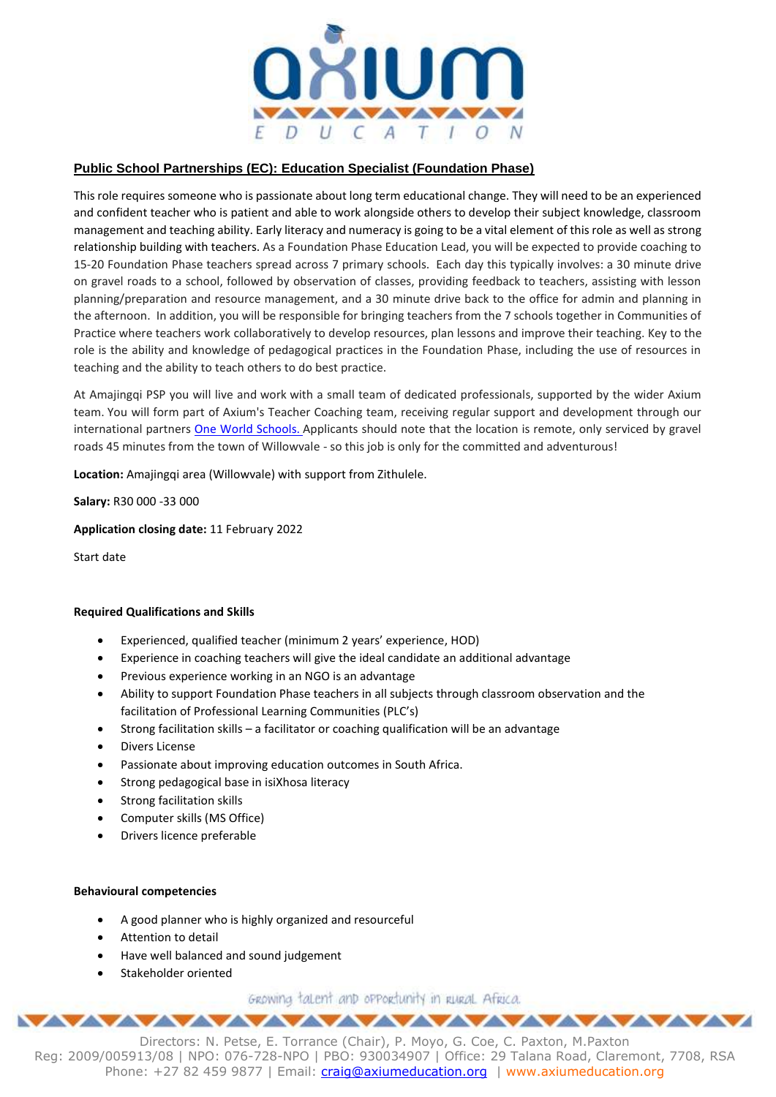

# **Public School Partnerships (EC): Education Specialist (Foundation Phase)**

This role requires someone who is passionate about long term educational change. They will need to be an experienced and confident teacher who is patient and able to work alongside others to develop their subject knowledge, classroom management and teaching ability. Early literacy and numeracy is going to be a vital element of this role as well as strong relationship building with teachers. As a Foundation Phase Education Lead, you will be expected to provide coaching to 15-20 Foundation Phase teachers spread across 7 primary schools. Each day this typically involves: a 30 minute drive on gravel roads to a school, followed by observation of classes, providing feedback to teachers, assisting with lesson planning/preparation and resource management, and a 30 minute drive back to the office for admin and planning in the afternoon. In addition, you will be responsible for bringing teachers from the 7 schools together in Communities of Practice where teachers work collaboratively to develop resources, plan lessons and improve their teaching. Key to the role is the ability and knowledge of pedagogical practices in the Foundation Phase, including the use of resources in teaching and the ability to teach others to do best practice.

At Amajingqi PSP you will live and work with a small team of dedicated professionals, supported by the wider Axium team. You will form part of Axium's Teacher Coaching team, receiving regular support and development through our international partners One World [Schools.](https://www.oneworldnos.org/) Applicants should note that the location is remote, only serviced by gravel roads 45 minutes from the town of Willowvale - so this job is only for the committed and adventurous!

**Location:** Amajingqi area (Willowvale) with support from Zithulele.

**Salary:** R30 000 -33 000

**Application closing date:** 11 February 2022

Start date

# **Required Qualifications and Skills**

- Experienced, qualified teacher (minimum 2 years' experience, HOD)
- Experience in coaching teachers will give the ideal candidate an additional advantage
- Previous experience working in an NGO is an advantage
- Ability to support Foundation Phase teachers in all subjects through classroom observation and the facilitation of Professional Learning Communities (PLC's)
- Strong facilitation skills a facilitator or coaching qualification will be an advantage
- Divers License
- Passionate about improving education outcomes in South Africa.
- Strong pedagogical base in isiXhosa literacy
- Strong facilitation skills
- Computer skills (MS Office)
- Drivers licence preferable

#### **Behavioural competencies**

- A good planner who is highly organized and resourceful
- Attention to detail
- Have well balanced and sound judgement
- Stakeholder oriented

GROWING talent and opportunity in RURAL Africa. 

Directors: N. Petse, E. Torrance (Chair), P. Moyo, G. Coe, C. Paxton, M.Paxton Reg: 2009/005913/08 | NPO: 076-728-NPO | PBO: 930034907 | Office: 29 Talana Road, Claremont, 7708, RSA Phone: +27 82 459 9877 | Email: [craig@axiumeducation.org](mailto:craig@axiumeducation.org) | www.axiumeducation.org